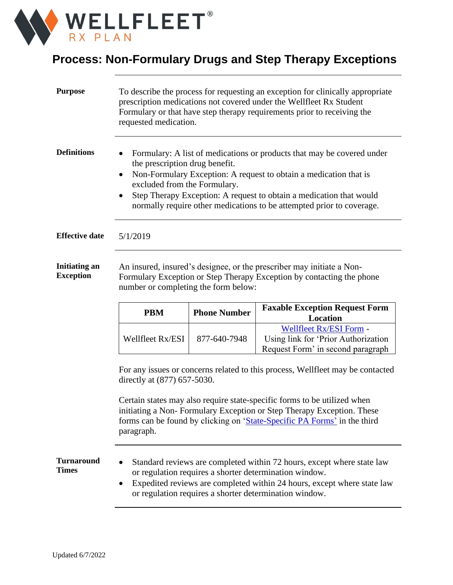

## **Process: Non-Formulary Drugs and Step Therapy Exceptions**

| <b>Purpose</b>                           | To describe the process for requesting an exception for clinically appropriate<br>prescription medications not covered under the Wellfleet Rx Student<br>Formulary or that have step therapy requirements prior to receiving the<br>requested medication.                                                                                                                               |                     |                                                                                                                                                                                                                                                                       |  |
|------------------------------------------|-----------------------------------------------------------------------------------------------------------------------------------------------------------------------------------------------------------------------------------------------------------------------------------------------------------------------------------------------------------------------------------------|---------------------|-----------------------------------------------------------------------------------------------------------------------------------------------------------------------------------------------------------------------------------------------------------------------|--|
| <b>Definitions</b>                       | Formulary: A list of medications or products that may be covered under<br>the prescription drug benefit.<br>Non-Formulary Exception: A request to obtain a medication that is<br>$\bullet$<br>excluded from the Formulary.<br>Step Therapy Exception: A request to obtain a medication that would<br>$\bullet$<br>normally require other medications to be attempted prior to coverage. |                     |                                                                                                                                                                                                                                                                       |  |
| <b>Effective date</b>                    | 5/1/2019                                                                                                                                                                                                                                                                                                                                                                                |                     |                                                                                                                                                                                                                                                                       |  |
| <b>Initiating an</b><br><b>Exception</b> | An insured, insured's designee, or the prescriber may initiate a Non-<br>Formulary Exception or Step Therapy Exception by contacting the phone<br>number or completing the form below:                                                                                                                                                                                                  |                     |                                                                                                                                                                                                                                                                       |  |
|                                          | <b>PBM</b>                                                                                                                                                                                                                                                                                                                                                                              | <b>Phone Number</b> | <b>Faxable Exception Request Form</b><br><b>Location</b>                                                                                                                                                                                                              |  |
|                                          | Wellfleet Rx/ESI                                                                                                                                                                                                                                                                                                                                                                        | 877-640-7948        | Wellfleet Rx/ESI Form -<br>Using link for 'Prior Authorization<br>Request Form' in second paragraph                                                                                                                                                                   |  |
|                                          | For any issues or concerns related to this process, Wellfleet may be contacted<br>directly at (877) 657-5030.                                                                                                                                                                                                                                                                           |                     |                                                                                                                                                                                                                                                                       |  |
|                                          | Certain states may also require state-specific forms to be utilized when<br>initiating a Non-Formulary Exception or Step Therapy Exception. These<br>forms can be found by clicking on 'State-Specific PA Forms' in the third<br>paragraph.                                                                                                                                             |                     |                                                                                                                                                                                                                                                                       |  |
| <b>Turnaround</b><br><b>Times</b>        |                                                                                                                                                                                                                                                                                                                                                                                         |                     | Standard reviews are completed within 72 hours, except where state law<br>or regulation requires a shorter determination window.<br>Expedited reviews are completed within 24 hours, except where state law<br>or regulation requires a shorter determination window. |  |